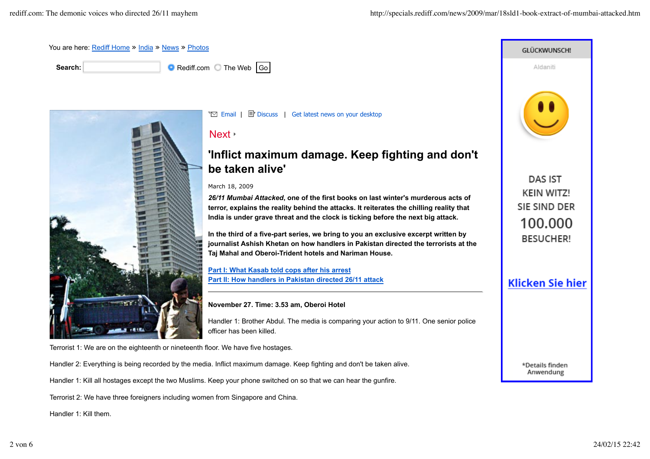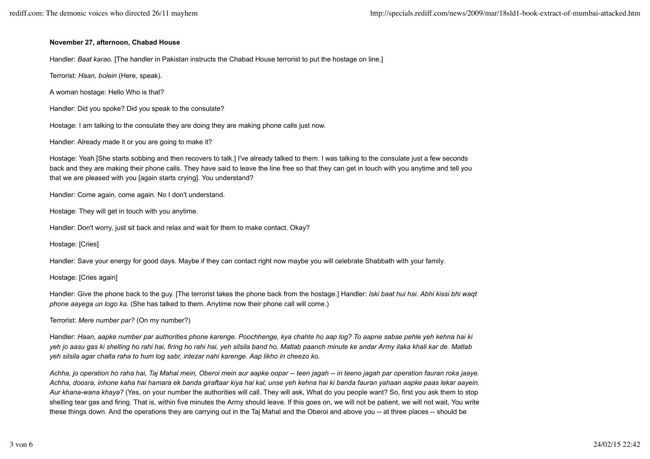## **November 27, afternoon, Chabad House**

Handler: *Baat karao.* [The handler in Pakistan instructs the Chabad House terrorist to put the hostage on line.]

Terrorist: *Haan, bolein* (Here, speak).

A woman hostage: Hello Who is that?

Handler: Did you spoke? Did you speak to the consulate?

Hostage: I am talking to the consulate they are doing they are making phone calls just now.

Handler: Already made it or you are going to make it?

Hostage: Yeah [She starts sobbing and then recovers to talk.] I've already talked to them. I was talking to the consulate just a few seconds back and they are making their phone calls. They have said to leave the line free so that they can get in touch with you anytime and tell you that we are pleased with you [again starts crying]. You understand?

Handler: Come again, come again. No I don't understand.

Hostage: They will get in touch with you anytime.

Handler: Don't worry, just sit back and relax and wait for them to make contact. Okay?

Hostage: [Cries]

Handler: Save your energy for good days. Maybe if they can contact right now maybe you will celebrate Shabbath with your family.

Hostage: [Cries again]

Handler: Give the phone back to the guy. [The terrorist takes the phone back from the hostage.] Handler: *Iski baat hui hai. Abhi kissi bhi waqt phone aayega un logo ka.* (She has talked to them. Anytime now their phone call will come.)

Terrorist: *Mere number par?* (On my number?)

Handler: *Haan, aapke number par authorities phone karenge. Poochhenge, kya chahte ho aap log? To aapne sabse pehle yeh kehna hai ki yeh jo aasu gas ki shelling ho rahi hai, firing ho rahi hai, yeh silsila band ho. Matlab paanch minute ke andar Army ilaka khali kar de. Matlab yeh silsila agar chalta raha to hum log sabr, intezar nahi karenge. Aap likho in cheezo ko.*

*Achha, jo operation ho raha hai, Taj Mahal mein, Oberoi mein aur aapke oopar -- teen jagah -- in teeno jagah par operation fauran roka jaaye. Achha, doosra, inhone kaha hai hamara ek banda giraftaar kiya hai kal; unse yeh kehna hai ki banda fauran yahaan aapke paas lekar aayein. Aur khana-wana khaya?* (Yes, on your number the authorities will call. They will ask, What do you people want? So, first you ask them to stop shelling tear gas and firing. That is, within five minutes the Army should leave. If this goes on, we will not be patient, we will not wait, You write these things down. And the operations they are carrying out in the Taj Mahal and the Oberoi and above you -- at three places -- should be